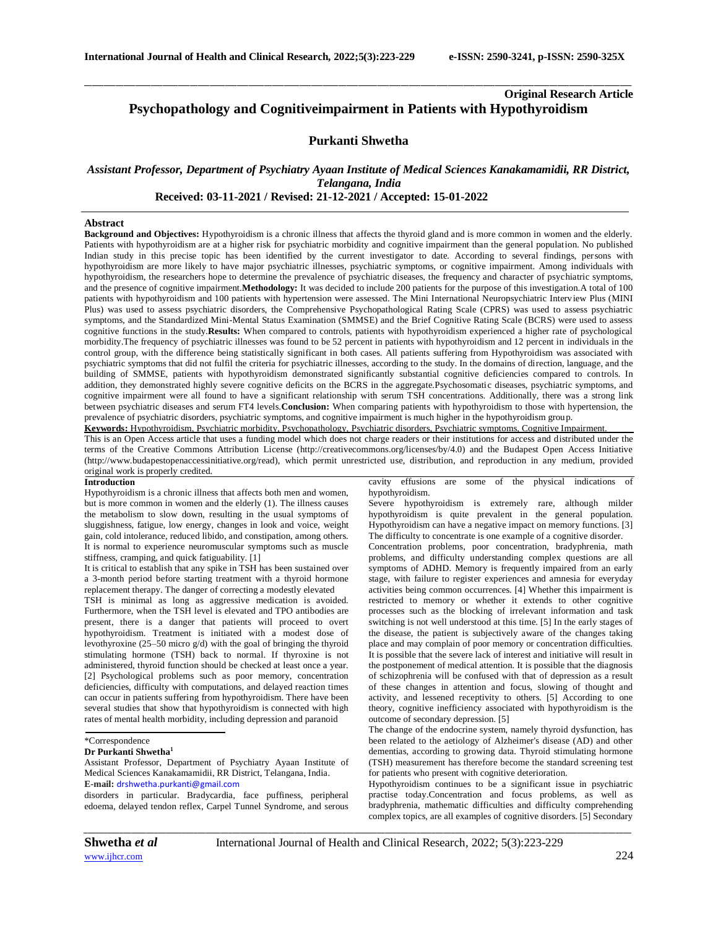# **Original Research Article Psychopathology and Cognitiveimpairment in Patients with Hypothyroidism**

# **Purkanti Shwetha**

\_\_\_\_\_\_\_\_\_\_\_\_\_\_\_\_\_\_\_\_\_\_\_\_\_\_\_\_\_\_\_\_\_\_\_\_\_\_\_\_\_\_\_\_\_\_\_\_\_\_\_\_\_\_\_\_\_\_\_\_\_\_\_\_\_\_\_\_\_\_\_\_\_\_\_\_\_\_\_\_\_\_\_\_\_\_\_\_\_\_\_\_\_\_\_\_\_\_\_\_\_\_\_\_\_\_\_\_\_\_\_\_\_\_\_\_\_\_\_\_\_\_\_\_\_\_\_\_\_\_\_\_\_\_\_\_\_\_\_\_

# *Assistant Professor, Department of Psychiatry Ayaan Institute of Medical Sciences Kanakamamidii, RR District, Telangana, India*  **Received: 03-11-2021 / Revised: 21-12-2021 / Accepted: 15-01-2022**

### **Abstract**

**Background and Objectives:** Hypothyroidism is a chronic illness that affects the thyroid gland and is more common in women and the elderly. Patients with hypothyroidism are at a higher risk for psychiatric morbidity and cognitive impairment than the general population. No published Indian study in this precise topic has been identified by the current investigator to date. According to several findings, persons with hypothyroidism are more likely to have major psychiatric illnesses, psychiatric symptoms, or cognitive impairment. Among individuals with hypothyroidism, the researchers hope to determine the prevalence of psychiatric diseases, the frequency and character of psychiatric symptoms, and the presence of cognitive impairment.**Methodology:** It was decided to include 200 patients for the purpose of this investigation.A total of 100 patients with hypothyroidism and 100 patients with hypertension were assessed. The Mini International Neuropsychiatric Interview Plus (MINI Plus) was used to assess psychiatric disorders, the Comprehensive Psychopathological Rating Scale (CPRS) was used to assess psychiatric symptoms, and the Standardized Mini-Mental Status Examination (SMMSE) and the Brief Cognitive Rating Scale (BCRS) were used to assess cognitive functions in the study.**Results:** When compared to controls, patients with hypothyroidism experienced a higher rate of psychological morbidity.The frequency of psychiatric illnesses was found to be 52 percent in patients with hypothyroidism and 12 percent in individuals in the control group, with the difference being statistically significant in both cases. All patients suffering from Hypothyroidism was associated with psychiatric symptoms that did not fulfil the criteria for psychiatric illnesses, according to the study. In the domains of direction, language, and the building of SMMSE, patients with hypothyroidism demonstrated significantly substantial cognitive deficiencies compared to controls. In addition, they demonstrated highly severe cognitive deficits on the BCRS in the aggregate.Psychosomatic diseases, psychiatric symptoms, and cognitive impairment were all found to have a significant relationship with serum TSH concentrations. Additionally, there was a strong link between psychiatric diseases and serum FT4 levels.**Conclusion:** When comparing patients with hypothyroidism to those with hypertension, the prevalence of psychiatric disorders, psychiatric symptoms, and cognitive impairment is much higher in the hypothyroidism group.

**Keywords:** Hypothyroidism, Psychiatric morbidity, Psychopathology, Psychiatric disorders, Psychiatric symptoms, Cognitive Impairment. This is an Open Access article that uses a funding model which does not charge readers or their institutions for access and distributed under the terms of the Creative Commons Attribution License (http://creativecommons.org/licenses/by/4.0) and the Budapest Open Access Initiative (http://www.budapestopenaccessinitiative.org/read), which permit unrestricted use, distribution, and reproduction in any medium, provided original work is properly credited.

#### **Introduction**

Hypothyroidism is a chronic illness that affects both men and women, but is more common in women and the elderly (1). The illness causes the metabolism to slow down, resulting in the usual symptoms of sluggishness, fatigue, low energy, changes in look and voice, weight gain, cold intolerance, reduced libido, and constipation, among others. It is normal to experience neuromuscular symptoms such as muscle stiffness, cramping, and quick fatiguability. [1]

It is critical to establish that any spike in TSH has been sustained over a 3-month period before starting treatment with a thyroid hormone replacement therapy. The danger of correcting a modestly elevated

TSH is minimal as long as aggressive medication is avoided. Furthermore, when the TSH level is elevated and TPO antibodies are present, there is a danger that patients will proceed to overt hypothyroidism. Treatment is initiated with a modest dose of levothyroxine (25–50 micro g/d) with the goal of bringing the thyroid stimulating hormone (TSH) back to normal. If thyroxine is not administered, thyroid function should be checked at least once a year. [2] Psychological problems such as poor memory, concentration deficiencies, difficulty with computations, and delayed reaction times can occur in patients suffering from hypothyroidism. There have been several studies that show that hypothyroidism is connected with high rates of mental health morbidity, including depression and paranoid

#### **Dr Purkanti Shwetha<sup>1</sup>**

Assistant Professor, Department of Psychiatry Ayaan Institute of Medical Sciences Kanakamamidii, RR District, Telangana, India. **E-mail:** [drshwetha.purkanti@gmail.com](mailto:drshwetha.purkanti@gmail.com)

disorders in particular. Bradycardia, face puffiness, peripheral edoema, delayed tendon reflex, Carpel Tunnel Syndrome, and serous cavity effusions are some of the physical indications of hypothyroidism.

Severe hypothyroidism is extremely rare, although milder hypothyroidism is quite prevalent in the general population. Hypothyroidism can have a negative impact on memory functions. [3] The difficulty to concentrate is one example of a cognitive disorder.

Concentration problems, poor concentration, bradyphrenia, math problems, and difficulty understanding complex questions are all symptoms of ADHD. Memory is frequently impaired from an early stage, with failure to register experiences and amnesia for everyday activities being common occurrences. [4] Whether this impairment is restricted to memory or whether it extends to other cognitive processes such as the blocking of irrelevant information and task switching is not well understood at this time. [5] In the early stages of the disease, the patient is subjectively aware of the changes taking place and may complain of poor memory or concentration difficulties. It is possible that the severe lack of interest and initiative will result in the postponement of medical attention. It is possible that the diagnosis of schizophrenia will be confused with that of depression as a result of these changes in attention and focus, slowing of thought and activity, and lessened receptivity to others. [5] According to one theory, cognitive inefficiency associated with hypothyroidism is the outcome of secondary depression. [5]

The change of the endocrine system, namely thyroid dysfunction, has been related to the aetiology of Alzheimer's disease (AD) and other dementias, according to growing data. Thyroid stimulating hormone (TSH) measurement has therefore become the standard screening test for patients who present with cognitive deterioration.

Hypothyroidism continues to be a significant issue in psychiatric practise today.Concentration and focus problems, as well as bradyphrenia, mathematic difficulties and difficulty comprehending complex topics, are all examples of cognitive disorders. [5] Secondary

<sup>\*</sup>Correspondence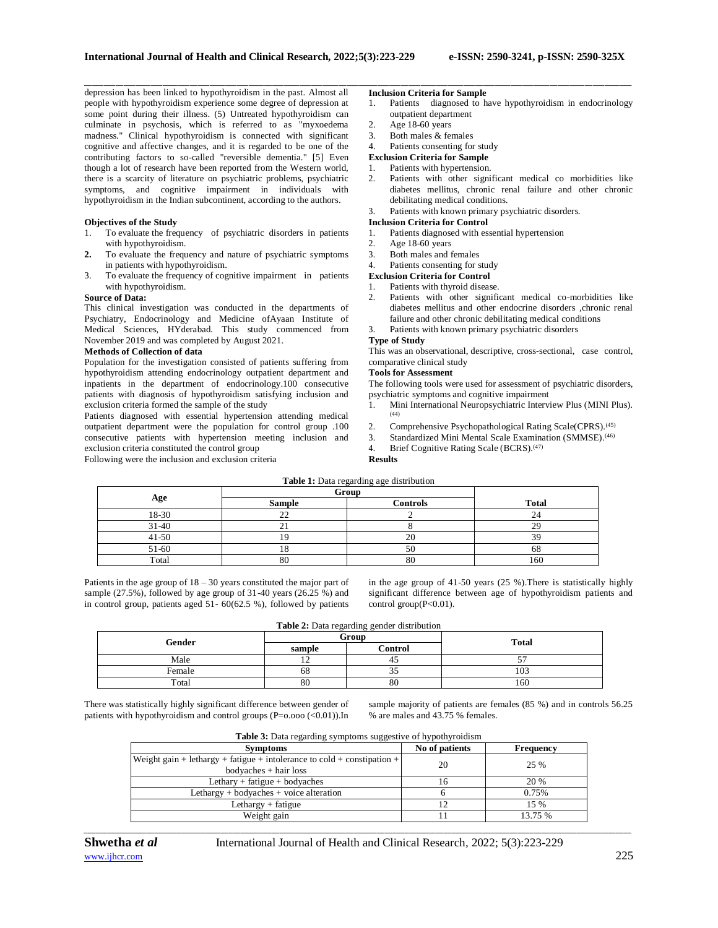depression has been linked to hypothyroidism in the past. Almost all people with hypothyroidism experience some degree of depression at some point during their illness. (5) Untreated hypothyroidism can culminate in psychosis, which is referred to as "myxoedema madness." Clinical hypothyroidism is connected with significant cognitive and affective changes, and it is regarded to be one of the contributing factors to so-called "reversible dementia." [5] Even though a lot of research have been reported from the Western world, there is a scarcity of literature on psychiatric problems, psychiatric symptoms, and cognitive impairment in individuals with hypothyroidism in the Indian subcontinent, according to the authors.

### **Objectives of the Study**

- 1. To evaluate the frequency of psychiatric disorders in patients with hypothyroidism.
- **2.** To evaluate the frequency and nature of psychiatric symptoms in patients with hypothyroidism.
- 3. To evaluate the frequency of cognitive impairment in patients with hypothyroidism.

## **Source of Data:**

This clinical investigation was conducted in the departments of Psychiatry, Endocrinology and Medicine ofAyaan Institute of Medical Sciences, HYderabad. This study commenced from November 2019 and was completed by August 2021.

### **Methods of Collection of data**

Population for the investigation consisted of patients suffering from hypothyroidism attending endocrinology outpatient department and inpatients in the department of endocrinology.100 consecutive patients with diagnosis of hypothyroidism satisfying inclusion and exclusion criteria formed the sample of the study

Patients diagnosed with essential hypertension attending medical outpatient department were the population for control group .100 consecutive patients with hypertension meeting inclusion and exclusion criteria constituted the control group

Following were the inclusion and exclusion criteria

### **Inclusion Criteria for Sample**

- 1. Patients diagnosed to have hypothyroidism in endocrinology outpatient department
- 2. Age 18-60 years

\_\_\_\_\_\_\_\_\_\_\_\_\_\_\_\_\_\_\_\_\_\_\_\_\_\_\_\_\_\_\_\_\_\_\_\_\_\_\_\_\_\_\_\_\_\_\_\_\_\_\_\_\_\_\_\_\_\_\_\_\_\_\_\_\_\_\_\_\_\_\_\_\_\_\_\_\_\_\_\_\_\_\_\_\_\_\_\_\_\_\_\_\_\_\_\_\_\_\_\_\_\_\_\_\_\_\_\_\_\_\_\_\_\_\_\_\_\_\_\_\_\_\_\_\_\_\_\_\_\_\_\_\_\_\_\_\_\_\_\_

- 3. Both males & females
- 4. Patients consenting for study

# **Exclusion Criteria for Sample**

# 1. Patients with hypertension.

2. Patients with other significant medical co morbidities like diabetes mellitus, chronic renal failure and other chronic debilitating medical conditions.

3. Patients with known primary psychiatric disorders.

### **Inclusion Criteria for Control**

- 1. Patients diagnosed with essential hypertension
- 2. Age 18-60 years
- 3. Both males and females
- 4. Patients consenting for study

### **Exclusion Criteria for Control**

- 1. Patients with thyroid disease.
- 2. Patients with other significant medical co-morbidities like diabetes mellitus and other endocrine disorders ,chronic renal failure and other chronic debilitating medical conditions
- 3. Patients with known primary psychiatric disorders

# **Type of Study**

This was an observational, descriptive, cross-sectional, case control, comparative clinical study

#### **Tools for Assessment**

The following tools were used for assessment of psychiatric disorders, psychiatric symptoms and cognitive impairment

- 1. Mini International Neuropsychiatric Interview Plus (MINI Plus). (44)
- 2. Comprehensive Psychopathological Rating Scale(CPRS).<sup>(45)</sup><br>3. Standardized Mini Mental Scale Examination (SMMSE).<sup>(46)</sup>
- Standardized Mini Mental Scale Examination (SMMSE).<sup>(46)</sup>
- 4. Brief Cognitive Rating Scale (BCRS).<sup>(47)</sup>

**Results**

|                                  | Group              |                |              |
|----------------------------------|--------------------|----------------|--------------|
| Age<br><b>Controls</b><br>Sample |                    |                | <b>Total</b> |
| 18-30                            | $\mathcal{L}$<br>∸ |                |              |
| $31-40$                          |                    |                |              |
| $41 - 50$                        |                    | $\overline{ }$ |              |
| 51-60                            |                    | 50             | οŏ           |
| Total                            | 80                 | 80             | 160          |

Patients in the age group of  $18 - 30$  years constituted the major part of sample (27.5%), followed by age group of 31-40 years (26.25 %) and in control group, patients aged 51- 60(62.5 %), followed by patients

in the age group of 41-50 years (25 %).There is statistically highly significant difference between age of hypothyroidism patients and control group(P<0.01).

| Table 2: Data regarding gender distribution |  |
|---------------------------------------------|--|
|---------------------------------------------|--|

| Gender | Group  |         |              |  |
|--------|--------|---------|--------------|--|
|        | sample | Control | <b>Total</b> |  |
| Male   | . .    |         | --           |  |
| Female | 68     | ر ر     | 103          |  |
| Total  | 80     | 80      | 160          |  |

There was statistically highly significant difference between gender of patients with hypothyroidism and control groups (P=o.ooo (<0.01)).In

sample majority of patients are females (85 %) and in controls 56.25 % are males and 43.75 % females.

| <b>Table 3:</b> Data regarding symptoms suggestive of hypothyroidism |  |
|----------------------------------------------------------------------|--|
|                                                                      |  |

| <b>Symptoms</b>                                                         | No of patients | Frequency |
|-------------------------------------------------------------------------|----------------|-----------|
| Weight gain + lethargy + fatigue + intolerance to cold + constipation + | 20             | 25 %      |
| $bodyaches + hair loss$                                                 |                |           |
| Lethary + fatigue + bodyaches                                           | 16             | 20 %      |
| Lethargy $+$ bodyaches $+$ voice alteration                             |                | 0.75%     |
| Lethargy $+$ fatigue                                                    |                | 15 %      |
| Weight gain                                                             |                | 13.75 %   |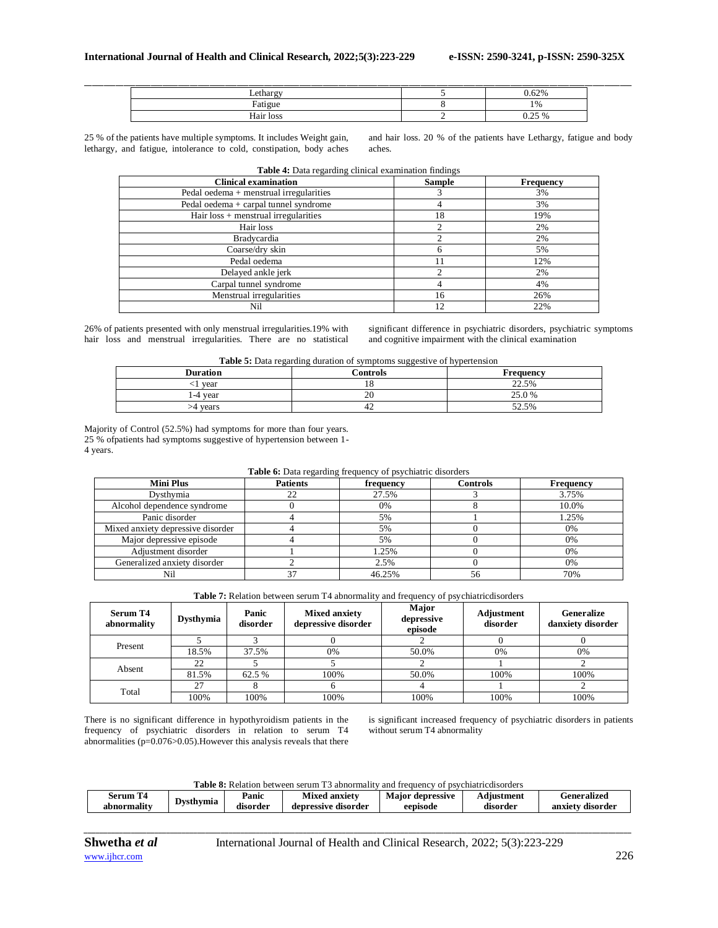| Lethargy  | 62% |  |
|-----------|-----|--|
| Fatigue   | 0/  |  |
| Hair loss | 250 |  |

25 % of the patients have multiple symptoms. It includes Weight gain, lethargy, and fatigue, intolerance to cold, constipation, body aches

and hair loss. 20 % of the patients have Lethargy, fatigue and body aches.

| Table 4: Data regarding clinical examination findings |                |                  |  |  |
|-------------------------------------------------------|----------------|------------------|--|--|
| <b>Clinical examination</b>                           | <b>Sample</b>  | <b>Frequency</b> |  |  |
| Pedal oedema + menstrual irregularities               | 3              | 3%               |  |  |
| Pedal oedema + carpal tunnel syndrome                 | 4              | 3%               |  |  |
| Hair loss + menstrual irregularities                  | 18             | 19%              |  |  |
| Hair loss                                             | $\mathfrak{D}$ | 2%               |  |  |
| <b>Bradycardia</b>                                    |                | 2%               |  |  |
| Coarse/dry skin                                       | 6              | 5%               |  |  |
| Pedal oedema                                          | 11             | 12%              |  |  |
| Delayed ankle jerk                                    |                | 2%               |  |  |
| Carpal tunnel syndrome                                |                | 4%               |  |  |
| Menstrual irregularities                              | 16             | 26%              |  |  |
| Nil                                                   | 12             | 22%              |  |  |

26% of patients presented with only menstrual irregularities.19% with hair loss and menstrual irregularities. There are no statistical

significant difference in psychiatric disorders, psychiatric symptoms and cognitive impairment with the clinical examination

| <b>Table 5:</b> Data regarding duration of symptoms suggestive of hypertension |
|--------------------------------------------------------------------------------|
|--------------------------------------------------------------------------------|

| <b>Duration</b> | ັັັ<br>Controls | . .<br><b>Frequency</b> |
|-----------------|-----------------|-------------------------|
| vear            |                 | 22.5%                   |
| .-4 vear        | 20              | 25.0%                   |
| vears           | 42              | 52.5%                   |

Majority of Control (52.5%) had symptoms for more than four years. 25 % ofpatients had symptoms suggestive of hypertension between 1- 4 years.

| <b>Table 6:</b> Data regarding frequency of psychiatric disorders |                                                       |        |    |       |  |  |  |  |
|-------------------------------------------------------------------|-------------------------------------------------------|--------|----|-------|--|--|--|--|
| <b>Mini Plus</b>                                                  | <b>Patients</b><br>Controls<br>Frequency<br>frequency |        |    |       |  |  |  |  |
| Dysthymia                                                         |                                                       | 27.5%  |    | 3.75% |  |  |  |  |
| Alcohol dependence syndrome                                       |                                                       | 0%     |    | 10.0% |  |  |  |  |
| Panic disorder                                                    |                                                       | 5%     |    | 1.25% |  |  |  |  |
| Mixed anxiety depressive disorder                                 |                                                       | 5%     |    | 0%    |  |  |  |  |
| Major depressive episode                                          |                                                       | 5%     |    | 0%    |  |  |  |  |
| Adjustment disorder                                               |                                                       | 1.25%  |    | 0%    |  |  |  |  |
| Generalized anxiety disorder                                      |                                                       | 2.5%   |    | 0%    |  |  |  |  |
| Nil                                                               | 37                                                    | 46.25% | 56 | 70%   |  |  |  |  |

**Table 7:** Relation between serum T4 abnormality and frequency of psychiatricdisorders

| <b>Serum T4</b><br>abnormality | Dysthymia | Panic<br>disorder | <b>Mixed anxiety</b><br>depressive disorder | Major<br>depressive<br>episode | Adjustment<br>disorder | <b>Generalize</b><br>danxiety disorder |
|--------------------------------|-----------|-------------------|---------------------------------------------|--------------------------------|------------------------|----------------------------------------|
|                                |           |                   |                                             |                                |                        |                                        |
| Present                        | 18.5%     | 37.5%             | 0%                                          | 50.0%                          | 0%                     | 0%                                     |
| Absent                         | 22        |                   |                                             |                                |                        |                                        |
|                                | 81.5%     | 62.5 %            | 100%                                        | 50.0%                          | 100%                   | 100%                                   |
| Total                          | 27        |                   |                                             |                                |                        |                                        |
|                                | 100%      | 100%              | 100%                                        | 100%                           | 100%                   | 100%                                   |

There is no significant difference in hypothyroidism patients in the frequency of psychiatric disorders in relation to serum T4 abnormalities (p=0.076>0.05).However this analysis reveals that there

is significant increased frequency of psychiatric disorders in patients without serum T4 abnormality

|  |  |  |  |  | <b>Table 8:</b> Relation between serum T3 abnormality and frequency of psychiatricdisorders |  |
|--|--|--|--|--|---------------------------------------------------------------------------------------------|--|
|  |  |  |  |  |                                                                                             |  |

| ÷<br>m<br>Serum |           | Panic    | anxiety<br>vlixec   | depressive<br>laior | Adiustment | --<br>. . eneralizer |
|-----------------|-----------|----------|---------------------|---------------------|------------|----------------------|
| <br>abnormality | Dysthymia | disorder | depressive disorder | eepisode            | disorder   | anxiet<br>disorder   |
|                 |           |          |                     |                     |            |                      |

*\_\_\_\_\_\_\_\_\_\_\_\_\_\_\_\_\_\_\_\_\_\_\_\_\_\_\_\_\_\_\_\_\_\_\_\_\_\_\_\_\_\_\_\_\_\_\_\_\_\_\_\_\_\_\_\_\_\_\_\_\_\_\_\_\_\_\_\_\_\_\_\_\_\_\_\_\_\_\_\_\_\_\_\_\_\_\_\_\_\_\_\_\_\_\_\_\_\_\_\_\_\_\_\_\_\_\_\_\_\_\_\_\_\_\_\_\_\_\_\_\_\_\_\_\_\_\_\_\_\_\_\_\_\_\_\_\_\_\_\_*

[www.ijhcr.com](about:blank)  $226$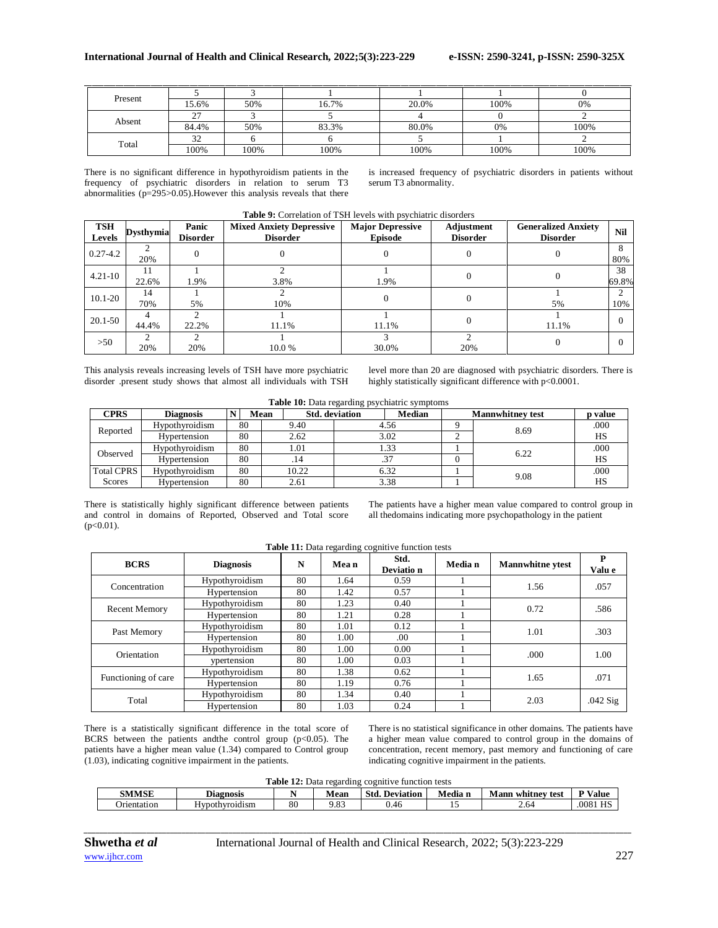| Present |                      |      |       |       |      |      |
|---------|----------------------|------|-------|-------|------|------|
|         | 15.6%                | 50%  | 16.7% | 20.0% | 100% | 0%   |
| Absent  | $\sim$               |      |       |       |      |      |
|         | 84.4%                | 50%  | 83.3% | 80.0% | 0%   | 100% |
| Total   | $\mathcal{L}$<br>ے ر |      |       |       |      |      |
|         | 100%                 | 100% | 100%  | 100%  | 100% | 100% |

There is no significant difference in hypothyroidism patients in the frequency of psychiatric disorders in relation to serum T3 abnormalities (p=295>0.05).However this analysis reveals that there is increased frequency of psychiatric disorders in patients without serum T3 abnormality.

| <b>TSH</b><br>Levels | <b>Dysthymia</b> | Panic<br><b>Disorder</b> | <b>Mixed Anxiety Depressive</b><br><b>Disorder</b> | <b>Major Depressive</b><br><b>Episode</b> | Adjustment<br><b>Disorder</b> | <b>Generalized Anxiety</b><br><b>Disorder</b> | <b>Nil</b>  |
|----------------------|------------------|--------------------------|----------------------------------------------------|-------------------------------------------|-------------------------------|-----------------------------------------------|-------------|
| $0.27 - 4.2$         | 20%              |                          |                                                    |                                           |                               |                                               | 8<br>80%    |
| $4.21 - 10$          | 11<br>22.6%      | 1.9%                     | 3.8%                                               | 1.9%                                      |                               |                                               | 38<br>69.8% |
| $10.1 - 20$          | 14<br>70%        | 5%                       | 10%                                                |                                           |                               | 5%                                            | ◠<br>10%    |
| 20.1-50              | 44.4%            | 22.2%                    | 11.1%                                              | 11.1%                                     |                               | 11.1%                                         |             |
| $>50$                | 20%              | 20%                      | 10.0 %                                             | 30.0%                                     | 20%                           |                                               |             |

### **Table 9:** Correlation of TSH levels with psychiatric disorders

This analysis reveals increasing levels of TSH have more psychiatric disorder .present study shows that almost all individuals with TSH

level more than 20 are diagnosed with psychiatric disorders. There is highly statistically significant difference with p<0.0001.

| Table 10: Data regarding psychiatric symptoms |  |  |
|-----------------------------------------------|--|--|
|-----------------------------------------------|--|--|

| <b>CPRS</b>              | <b>Diagnosis</b> | Mean       |       | <b>Std.</b> deviation | <b>Median</b> | <b>Mannwhitney test</b> | p value |
|--------------------------|------------------|------------|-------|-----------------------|---------------|-------------------------|---------|
|                          | Hypothyroidism   | 80         | 9.40  |                       | 4.56          | 8.69                    | .000    |
| Reported<br>Hypertension |                  | 80<br>2.62 |       | 3.02                  |               |                         | HS      |
| Observed                 | Hypothyroidism   | 80         | 1.01  |                       | 1.33          | 6.22                    | .000    |
|                          | Hypertension     | 80         | . 14  |                       |               |                         | HS      |
| <b>Total CPRS</b>        | Hypothyroidism   | 80         | 10.22 |                       | 6.32          | 9.08                    | .000    |
| Scores                   | Hypertension     | 80         | 2.61  |                       | 3.38          |                         | HS      |

There is statistically highly significant difference between patients and control in domains of Reported, Observed and Total score  $(p<0.01)$ .

The patients have a higher mean value compared to control group in all thedomains indicating more psychopathology in the patient

|                      |                                    |    |       | <b>Table 11:</b> Data regarding cognitive function tests |         |                         |             |
|----------------------|------------------------------------|----|-------|----------------------------------------------------------|---------|-------------------------|-------------|
| <b>BCRS</b>          | <b>Diagnosis</b>                   | N  | Mea n | Std.<br>Deviatio n                                       | Media n | <b>Mannwhitne</b> ytest | P<br>Valu e |
| Concentration        | Hypothyroidism                     | 80 | 1.64  | 0.59                                                     |         | 1.56                    | .057        |
|                      | Hypertension                       | 80 | 1.42  | 0.57                                                     |         |                         |             |
|                      | Hypothyroidism                     | 80 | 1.23  | 0.40                                                     |         | 0.72                    | .586        |
| <b>Recent Memory</b> | Hypertension                       | 80 | 1.21  | 0.28                                                     |         |                         |             |
|                      | Hypothyroidism                     | 80 | 1.01  | 0.12                                                     |         |                         | .303        |
| Past Memory          | Hypertension                       | 80 | 1.00  | .00.                                                     |         | 1.01                    |             |
| Orientation          | Hypothyroidism                     | 80 | 1.00  | 0.00                                                     |         | .000                    | 1.00        |
|                      | vpertension                        | 80 | 1.00  | 0.03                                                     |         |                         |             |
|                      | Hypothyroidism                     | 80 | 1.38  | 0.62                                                     |         | 1.65                    |             |
| Functioning of care  | Hypertension<br>80<br>1.19<br>0.76 |    |       |                                                          |         | .071                    |             |
|                      | Hypothyroidism                     | 80 | 1.34  | 0.40                                                     |         | 2.03                    |             |
| Total                | Hypertension                       | 80 | 1.03  | 0.24                                                     |         |                         | $.042$ Sig  |

**Table 11:** Data regarding cognitive function tests

There is a statistically significant difference in the total score of BCRS between the patients and<br>the control group  $(p<0.05)$ . The patients have a higher mean value (1.34) compared to Control group (1.03), indicating cognitive impairment in the patients.

There is no statistical significance in other domains. The patients have a higher mean value compared to control group in the domains of concentration, recent memory, past memory and functioning of care indicating cognitive impairment in the patients.

|                    | <b>Table 12:</b> Data regarding cognitive function tests |    |      |                       |         |                          |                |  |  |  |  |  |
|--------------------|----------------------------------------------------------|----|------|-----------------------|---------|--------------------------|----------------|--|--|--|--|--|
| <b>SMMSE</b>       | Diagnosis                                                |    | Mean | <b>Std. Deviation</b> | Media n | <b>Mann whitney test</b> | <b>P</b> Value |  |  |  |  |  |
| <b>Drientation</b> | Hvpothvroidism                                           | 80 | 9.83 | 0.46                  |         | 2.64                     | HS<br>0081     |  |  |  |  |  |

*\_\_\_\_\_\_\_\_\_\_\_\_\_\_\_\_\_\_\_\_\_\_\_\_\_\_\_\_\_\_\_\_\_\_\_\_\_\_\_\_\_\_\_\_\_\_\_\_\_\_\_\_\_\_\_\_\_\_\_\_\_\_\_\_\_\_\_\_\_\_\_\_\_\_\_\_\_\_\_\_\_\_\_\_\_\_\_\_\_\_\_\_\_\_\_\_\_\_\_\_\_\_\_\_\_\_\_\_\_\_\_\_\_\_\_\_\_\_\_\_\_\_\_\_\_\_\_\_\_\_\_\_\_\_\_\_\_\_\_\_*

 $\vdash$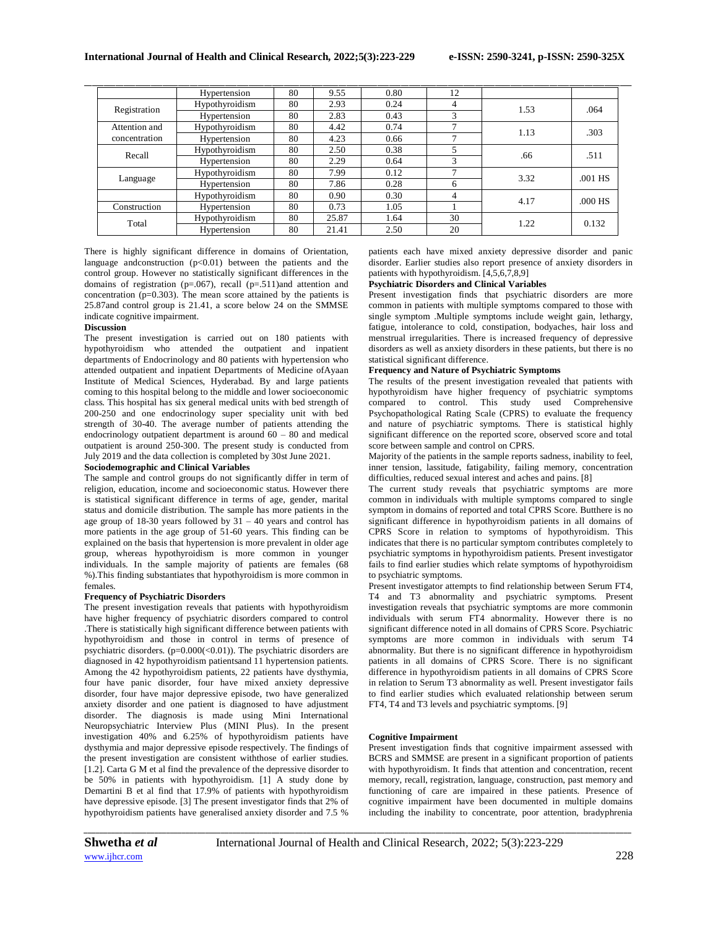|               | Hypertension   | 80 | 9.55  | 0.80 | 12             |      |         |
|---------------|----------------|----|-------|------|----------------|------|---------|
| Registration  | Hypothyroidism | 80 | 2.93  | 0.24 | 4              | 1.53 | .064    |
|               | Hypertension   | 80 | 2.83  | 0.43 | 3              |      |         |
| Attention and | Hypothyroidism | 80 | 4.42  | 0.74 | $\overline{ }$ | 1.13 | .303    |
| concentration | Hypertension   | 80 | 4.23  | 0.66 |                |      |         |
|               | Hypothyroidism | 80 | 2.50  | 0.38 | 5              | .66  | .511    |
| Recall        | Hypertension   | 80 | 2.29  | 0.64 | 3              |      |         |
|               | Hypothyroidism | 80 | 7.99  | 0.12 |                | 3.32 |         |
| Language      | Hypertension   | 80 | 7.86  | 0.28 | 6              |      | .001 HS |
|               | Hypothyroidism | 80 | 0.90  | 0.30 | 4              | 4.17 |         |
| Construction  | Hypertension   | 80 | 0.73  | 1.05 |                |      | .000 HS |
|               | Hypothyroidism | 80 | 25.87 | 1.64 | 30             |      |         |
| Total         | Hypertension   | 80 | 21.41 | 2.50 | 20             | 1.22 | 0.132   |

There is highly significant difference in domains of Orientation, language and<br>construction  $(p<0.01)$  between the patients and the control group. However no statistically significant differences in the domains of registration (p=.067), recall (p=.511)and attention and concentration  $(p=0.303)$ . The mean score attained by the patients is 25.87and control group is 21.41, a score below 24 on the SMMSE indicate cognitive impairment.

### **Discussion**

The present investigation is carried out on 180 patients with hypothyroidism who attended the outpatient and inpatient departments of Endocrinology and 80 patients with hypertension who attended outpatient and inpatient Departments of Medicine ofAyaan Institute of Medical Sciences, Hyderabad. By and large patients coming to this hospital belong to the middle and lower socioeconomic class. This hospital has six general medical units with bed strength of 200-250 and one endocrinology super speciality unit with bed strength of 30-40. The average number of patients attending the endocrinology outpatient department is around 60 – 80 and medical outpatient is around 250-300. The present study is conducted from July 2019 and the data collection is completed by 30st June 2021.

### **Sociodemographic and Clinical Variables**

The sample and control groups do not significantly differ in term of religion, education, income and socioeconomic status. However there is statistical significant difference in terms of age, gender, marital status and domicile distribution. The sample has more patients in the age group of 18-30 years followed by  $31 - 40$  years and control has more patients in the age group of 51-60 years. This finding can be explained on the basis that hypertension is more prevalent in older age group, whereas hypothyroidism is more common in younger individuals. In the sample majority of patients are females (68 %).This finding substantiates that hypothyroidism is more common in females.

#### **Frequency of Psychiatric Disorders**

The present investigation reveals that patients with hypothyroidism have higher frequency of psychiatric disorders compared to control .There is statistically high significant difference between patients with hypothyroidism and those in control in terms of presence of psychiatric disorders.  $(p=0.000 \le 0.01)$ ). The psychiatric disorders are diagnosed in 42 hypothyroidism patientsand 11 hypertension patients. Among the 42 hypothyroidism patients, 22 patients have dysthymia, four have panic disorder, four have mixed anxiety depressive disorder, four have major depressive episode, two have generalized anxiety disorder and one patient is diagnosed to have adjustment disorder. The diagnosis is made using Mini International Neuropsychiatric Interview Plus (MINI Plus). In the present investigation 40% and 6.25% of hypothyroidism patients have dysthymia and major depressive episode respectively. The findings of the present investigation are consistent withthose of earlier studies. [1.2]. Carta G M et al find the prevalence of the depressive disorder to be 50% in patients with hypothyroidism. [1] A study done by Demartini B et al find that 17.9% of patients with hypothyroidism have depressive episode. [3] The present investigator finds that 2% of hypothyroidism patients have generalised anxiety disorder and 7.5 %

patients each have mixed anxiety depressive disorder and panic disorder. Earlier studies also report presence of anxiety disorders in patients with hypothyroidism. [4,5,6,7,8,9]

## **Psychiatric Disorders and Clinical Variables**

Present investigation finds that psychiatric disorders are more common in patients with multiple symptoms compared to those with single symptom .Multiple symptoms include weight gain, lethargy, fatigue, intolerance to cold, constipation, bodyaches, hair loss and menstrual irregularities. There is increased frequency of depressive disorders as well as anxiety disorders in these patients, but there is no statistical significant difference.

#### **Frequency and Nature of Psychiatric Symptoms**

The results of the present investigation revealed that patients with hypothyroidism have higher frequency of psychiatric symptoms compared to control. This study used Comprehensive Psychopathological Rating Scale (CPRS) to evaluate the frequency and nature of psychiatric symptoms. There is statistical highly significant difference on the reported score, observed score and total score between sample and control on CPRS.

Majority of the patients in the sample reports sadness, inability to feel, inner tension, lassitude, fatigability, failing memory, concentration difficulties, reduced sexual interest and aches and pains. [8]

The current study reveals that psychiatric symptoms are more common in individuals with multiple symptoms compared to single symptom in domains of reported and total CPRS Score. Butthere is no significant difference in hypothyroidism patients in all domains of CPRS Score in relation to symptoms of hypothyroidism. This indicates that there is no particular symptom contributes completely to psychiatric symptoms in hypothyroidism patients. Present investigator fails to find earlier studies which relate symptoms of hypothyroidism to psychiatric symptoms.

Present investigator attempts to find relationship between Serum FT4, T4 and T3 abnormality and psychiatric symptoms. Present investigation reveals that psychiatric symptoms are more commonin individuals with serum FT4 abnormality. However there is no significant difference noted in all domains of CPRS Score. Psychiatric symptoms are more common in individuals with serum T4 abnormality. But there is no significant difference in hypothyroidism patients in all domains of CPRS Score. There is no significant difference in hypothyroidism patients in all domains of CPRS Score in relation to Serum T3 abnormality as well. Present investigator fails to find earlier studies which evaluated relationship between serum FT4, T4 and T3 levels and psychiatric symptoms. [9]

## **Cognitive Impairment**

Present investigation finds that cognitive impairment assessed with BCRS and SMMSE are present in a significant proportion of patients with hypothyroidism. It finds that attention and concentration, recent memory, recall, registration, language, construction, past memory and functioning of care are impaired in these patients. Presence of cognitive impairment have been documented in multiple domains including the inability to concentrate, poor attention, bradyphrenia